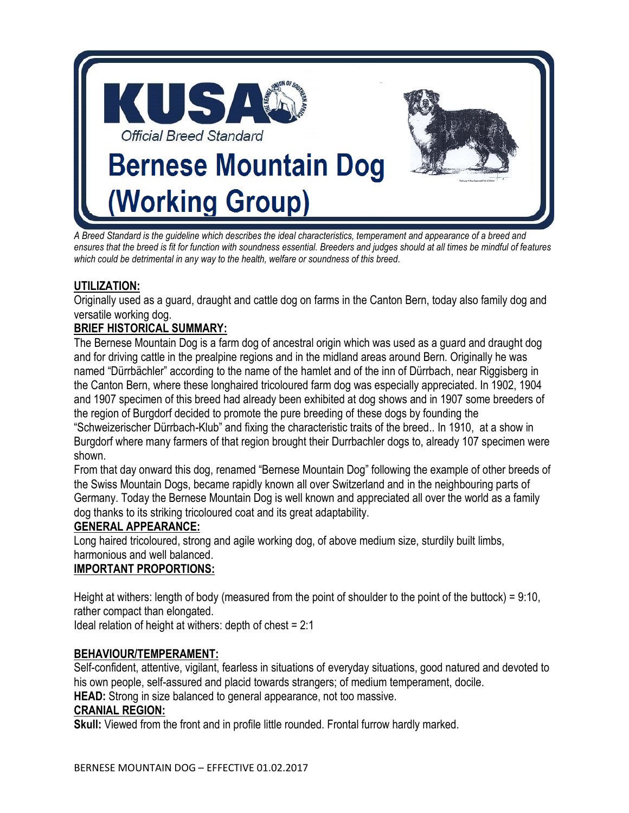

*A Breed Standard is the guideline which describes the ideal characteristics, temperament and appearance of a breed and ensures that the breed is fit for function with soundness essential. Breeders and judges should at all times be mindful of features which could be detrimental in any way to the health, welfare or soundness of this breed.* 

# **UTILIZATION:**

Originally used as a guard, draught and cattle dog on farms in the Canton Bern, today also family dog and versatile working dog.

# **BRIEF HISTORICAL SUMMARY:**

The Bernese Mountain Dog is a farm dog of ancestral origin which was used as a guard and draught dog and for driving cattle in the prealpine regions and in the midland areas around Bern. Originally he was named "Dürrbächler" according to the name of the hamlet and of the inn of Dürrbach, near Riggisberg in the Canton Bern, where these longhaired tricoloured farm dog was especially appreciated. In 1902, 1904 and 1907 specimen of this breed had already been exhibited at dog shows and in 1907 some breeders of the region of Burgdorf decided to promote the pure breeding of these dogs by founding the "Schweizerischer Dürrbach-Klub" and fixing the characteristic traits of the breed.. In 1910, at a show in Burgdorf where many farmers of that region brought their Durrbachler dogs to, already 107 specimen were shown.

From that day onward this dog, renamed "Bernese Mountain Dog" following the example of other breeds of the Swiss Mountain Dogs, became rapidly known all over Switzerland and in the neighbouring parts of Germany. Today the Bernese Mountain Dog is well known and appreciated all over the world as a family dog thanks to its striking tricoloured coat and its great adaptability.

#### **GENERAL APPEARANCE:**

Long haired tricoloured, strong and agile working dog, of above medium size, sturdily built limbs, harmonious and well balanced.

#### **IMPORTANT PROPORTIONS:**

Height at withers: length of body (measured from the point of shoulder to the point of the buttock) = 9:10, rather compact than elongated.

Ideal relation of height at withers: depth of chest = 2:1

#### **BEHAVIOUR/TEMPERAMENT:**

Self-confident, attentive, vigilant, fearless in situations of everyday situations, good natured and devoted to his own people, self-assured and placid towards strangers; of medium temperament, docile.

**HEAD:** Strong in size balanced to general appearance, not too massive.

#### **CRANIAL REGION:**

**Skull:** Viewed from the front and in profile little rounded. Frontal furrow hardly marked.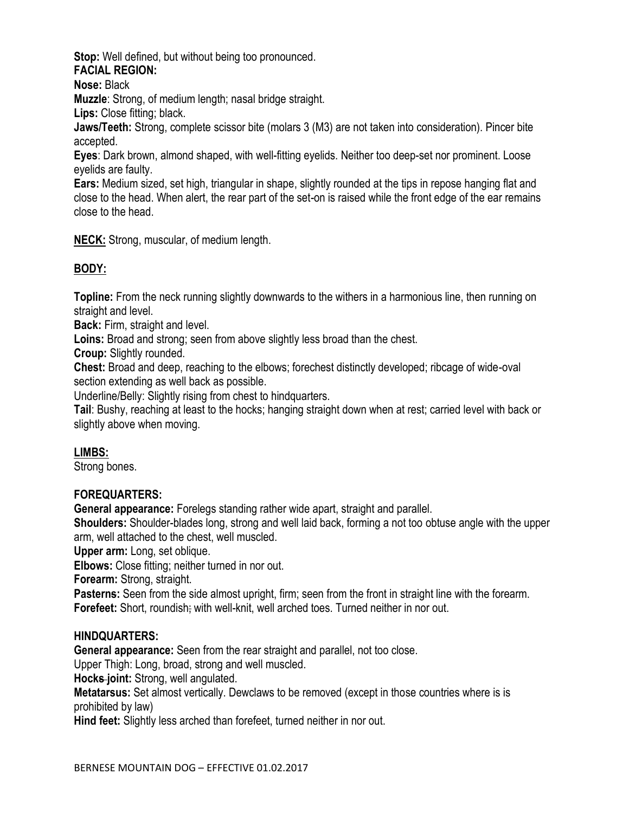**Stop:** Well defined, but without being too pronounced. **FACIAL REGION:** 

**Nose:** Black

**Muzzle**: Strong, of medium length; nasal bridge straight.

**Lips:** Close fitting; black.

**Jaws/Teeth:** Strong, complete scissor bite (molars 3 (M3) are not taken into consideration). Pincer bite accepted.

**Eyes**: Dark brown, almond shaped, with well-fitting eyelids. Neither too deep-set nor prominent. Loose eyelids are faulty.

**Ears:** Medium sized, set high, triangular in shape, slightly rounded at the tips in repose hanging flat and close to the head. When alert, the rear part of the set-on is raised while the front edge of the ear remains close to the head.

**NECK:** Strong, muscular, of medium length.

# **BODY:**

**Topline:** From the neck running slightly downwards to the withers in a harmonious line, then running on straight and level.

**Back:** Firm, straight and level.

Loins: Broad and strong; seen from above slightly less broad than the chest.

**Croup:** Slightly rounded.

**Chest:** Broad and deep, reaching to the elbows; forechest distinctly developed; ribcage of wide-oval section extending as well back as possible.

Underline/Belly: Slightly rising from chest to hindquarters.

**Tail**: Bushy, reaching at least to the hocks; hanging straight down when at rest; carried level with back or slightly above when moving.

#### **LIMBS:**

Strong bones.

#### **FOREQUARTERS:**

**General appearance:** Forelegs standing rather wide apart, straight and parallel.

**Shoulders:** Shoulder-blades long, strong and well laid back, forming a not too obtuse angle with the upper arm, well attached to the chest, well muscled.

**Upper arm:** Long, set oblique.

**Elbows:** Close fitting; neither turned in nor out.

**Forearm:** Strong, straight.

**Pasterns:** Seen from the side almost upright, firm; seen from the front in straight line with the forearm. **Forefeet:** Short, roundish; with well-knit, well arched toes. Turned neither in nor out.

#### **HINDQUARTERS:**

**General appearance:** Seen from the rear straight and parallel, not too close.

Upper Thigh: Long, broad, strong and well muscled.

**Hocks joint:** Strong, well angulated.

**Metatarsus:** Set almost vertically. Dewclaws to be removed (except in those countries where is is prohibited by law)

**Hind feet:** Slightly less arched than forefeet, turned neither in nor out.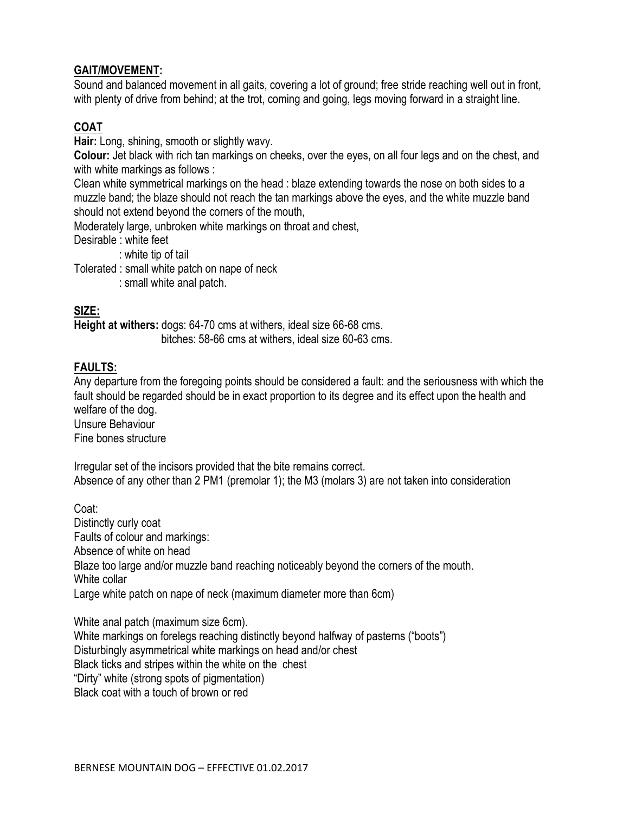### **GAIT/MOVEMENT:**

Sound and balanced movement in all gaits, covering a lot of ground; free stride reaching well out in front, with plenty of drive from behind; at the trot, coming and going, legs moving forward in a straight line.

# **COAT**

**Hair:** Long, shining, smooth or slightly wavy.

**Colour:** Jet black with rich tan markings on cheeks, over the eyes, on all four legs and on the chest, and with white markings as follows :

Clean white symmetrical markings on the head : blaze extending towards the nose on both sides to a muzzle band; the blaze should not reach the tan markings above the eyes, and the white muzzle band should not extend beyond the corners of the mouth,

Moderately large, unbroken white markings on throat and chest,

Desirable : white feet

: white tip of tail

Tolerated : small white patch on nape of neck

: small white anal patch.

# **SIZE:**

**Height at withers:** dogs: 64-70 cms at withers, ideal size 66-68 cms. bitches: 58-66 cms at withers, ideal size 60-63 cms.

#### **FAULTS:**

Any departure from the foregoing points should be considered a fault: and the seriousness with which the fault should be regarded should be in exact proportion to its degree and its effect upon the health and welfare of the dog. Unsure Behaviour

Fine bones structure

Irregular set of the incisors provided that the bite remains correct. Absence of any other than 2 PM1 (premolar 1); the M3 (molars 3) are not taken into consideration

Coat: Distinctly curly coat Faults of colour and markings: Absence of white on head Blaze too large and/or muzzle band reaching noticeably beyond the corners of the mouth. White collar Large white patch on nape of neck (maximum diameter more than 6cm)

White anal patch (maximum size 6cm). White markings on forelegs reaching distinctly beyond halfway of pasterns ("boots") Disturbingly asymmetrical white markings on head and/or chest Black ticks and stripes within the white on the chest "Dirty" white (strong spots of pigmentation) Black coat with a touch of brown or red